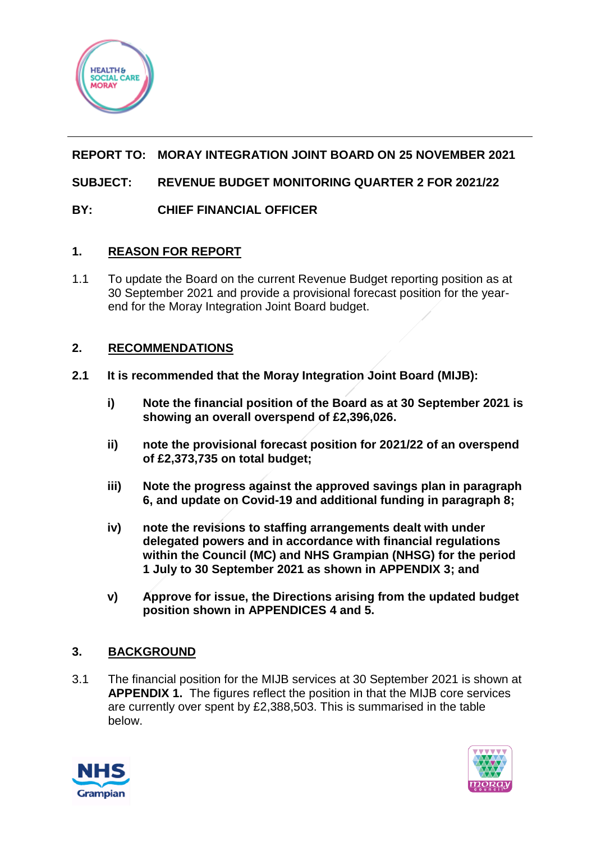

# **REPORT TO: MORAY INTEGRATION JOINT BOARD ON 25 NOVEMBER 2021**

# **SUBJECT: REVENUE BUDGET MONITORING QUARTER 2 FOR 2021/22**

# **BY: CHIEF FINANCIAL OFFICER**

## **1. REASON FOR REPORT**

1.1 To update the Board on the current Revenue Budget reporting position as at 30 September 2021 and provide a provisional forecast position for the yearend for the Moray Integration Joint Board budget.

## **2. RECOMMENDATIONS**

- **2.1 It is recommended that the Moray Integration Joint Board (MIJB):**
	- **i) Note the financial position of the Board as at 30 September 2021 is showing an overall overspend of £2,396,026.**
	- **ii) note the provisional forecast position for 2021/22 of an overspend of £2,373,735 on total budget;**
	- **iii) Note the progress against the approved savings plan in paragraph 6, and update on Covid-19 and additional funding in paragraph 8;**
	- **iv) note the revisions to staffing arrangements dealt with under delegated powers and in accordance with financial regulations within the Council (MC) and NHS Grampian (NHSG) for the period 1 July to 30 September 2021 as shown in APPENDIX 3; and**
	- **v) Approve for issue, the Directions arising from the updated budget position shown in APPENDICES 4 and 5.**

# **3. BACKGROUND**

3.1 The financial position for the MIJB services at 30 September 2021 is shown at **APPENDIX 1.** The figures reflect the position in that the MIJB core services are currently over spent by £2,388,503. This is summarised in the table below.



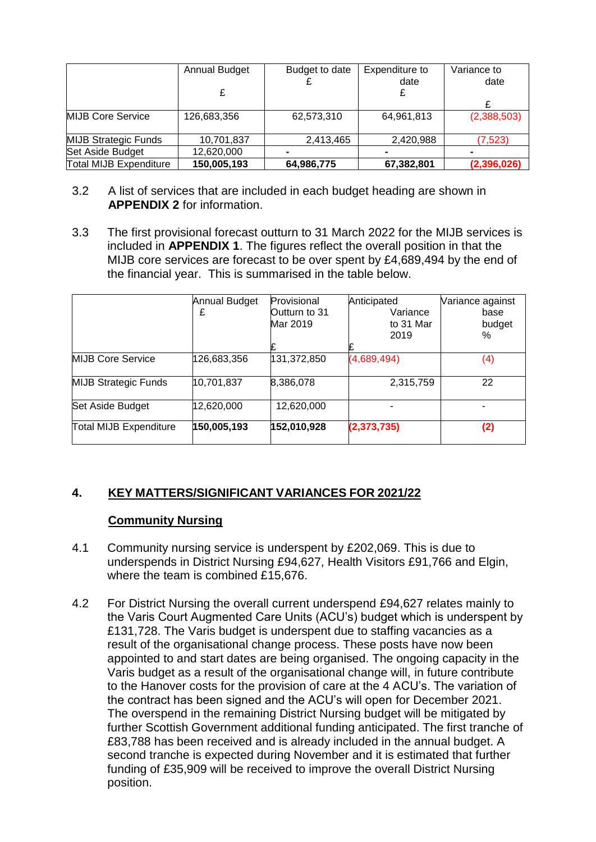|                               | <b>Annual Budget</b> | Budget to date | Expenditure to | Variance to |
|-------------------------------|----------------------|----------------|----------------|-------------|
|                               |                      |                | date           | date        |
|                               |                      |                |                |             |
|                               |                      |                |                |             |
| <b>MIJB Core Service</b>      | 126,683,356          | 62,573,310     | 64,961,813     | (2,388,503) |
| <b>MIJB Strategic Funds</b>   | 10,701,837           | 2,413,465      | 2,420,988      | (7, 523)    |
| Set Aside Budget              | 12,620,000           |                |                |             |
| <b>Total MIJB Expenditure</b> | 150,005,193          | 64,986,775     | 67,382,801     | (2,396,026) |

- 3.2 A list of services that are included in each budget heading are shown in **APPENDIX 2** for information.
- 3.3 The first provisional forecast outturn to 31 March 2022 for the MIJB services is included in **APPENDIX 1**. The figures reflect the overall position in that the MIJB core services are forecast to be over spent by £4,689,494 by the end of the financial year. This is summarised in the table below.

|                               | Annual Budget | Provisional   | Anticipated   | Variance against |
|-------------------------------|---------------|---------------|---------------|------------------|
|                               | £             | Outturn to 31 | Variance      | base             |
|                               |               | Mar 2019      | to 31 Mar     | budget           |
|                               |               |               | 2019          | %                |
|                               |               |               |               |                  |
| <b>MIJB Core Service</b>      | 126,683,356   | 131,372,850   | (4,689,494)   | (4)              |
| <b>MIJB Strategic Funds</b>   | 10,701,837    | 8,386,078     | 2,315,759     | 22               |
| Set Aside Budget              | 12,620,000    | 12,620,000    |               |                  |
| <b>Total MIJB Expenditure</b> | 150,005,193   | 152,010,928   | (2, 373, 735) | (2)              |

# **4. KEY MATTERS/SIGNIFICANT VARIANCES FOR 2021/22**

# **Community Nursing**

- 4.1 Community nursing service is underspent by £202,069. This is due to underspends in District Nursing £94,627, Health Visitors £91,766 and Elgin, where the team is combined £15,676.
- 4.2 For District Nursing the overall current underspend £94,627 relates mainly to the Varis Court Augmented Care Units (ACU's) budget which is underspent by £131,728. The Varis budget is underspent due to staffing vacancies as a result of the organisational change process. These posts have now been appointed to and start dates are being organised. The ongoing capacity in the Varis budget as a result of the organisational change will, in future contribute to the Hanover costs for the provision of care at the 4 ACU's. The variation of the contract has been signed and the ACU's will open for December 2021. The overspend in the remaining District Nursing budget will be mitigated by further Scottish Government additional funding anticipated. The first tranche of £83,788 has been received and is already included in the annual budget. A second tranche is expected during November and it is estimated that further funding of £35,909 will be received to improve the overall District Nursing position.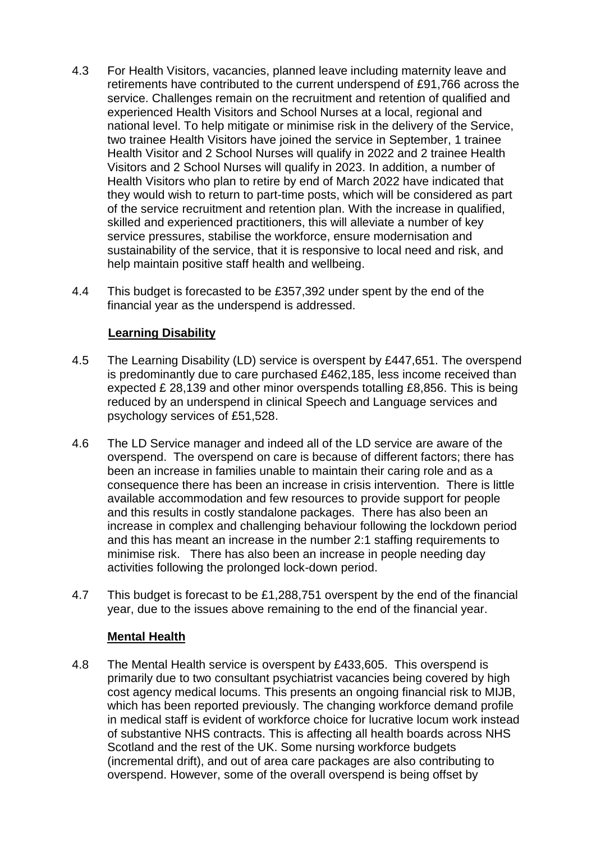- 4.3 For Health Visitors, vacancies, planned leave including maternity leave and retirements have contributed to the current underspend of £91,766 across the service. Challenges remain on the recruitment and retention of qualified and experienced Health Visitors and School Nurses at a local, regional and national level. To help mitigate or minimise risk in the delivery of the Service, two trainee Health Visitors have joined the service in September, 1 trainee Health Visitor and 2 School Nurses will qualify in 2022 and 2 trainee Health Visitors and 2 School Nurses will qualify in 2023. In addition, a number of Health Visitors who plan to retire by end of March 2022 have indicated that they would wish to return to part-time posts, which will be considered as part of the service recruitment and retention plan. With the increase in qualified, skilled and experienced practitioners, this will alleviate a number of key service pressures, stabilise the workforce, ensure modernisation and sustainability of the service, that it is responsive to local need and risk, and help maintain positive staff health and wellbeing.
- 4.4 This budget is forecasted to be £357,392 under spent by the end of the financial year as the underspend is addressed.

## **Learning Disability**

- 4.5 The Learning Disability (LD) service is overspent by £447,651. The overspend is predominantly due to care purchased £462,185, less income received than expected £ 28,139 and other minor overspends totalling £8,856. This is being reduced by an underspend in clinical Speech and Language services and psychology services of £51,528.
- 4.6 The LD Service manager and indeed all of the LD service are aware of the overspend. The overspend on care is because of different factors; there has been an increase in families unable to maintain their caring role and as a consequence there has been an increase in crisis intervention. There is little available accommodation and few resources to provide support for people and this results in costly standalone packages. There has also been an increase in complex and challenging behaviour following the lockdown period and this has meant an increase in the number 2:1 staffing requirements to minimise risk. There has also been an increase in people needing day activities following the prolonged lock-down period.
- 4.7 This budget is forecast to be £1,288,751 overspent by the end of the financial year, due to the issues above remaining to the end of the financial year.

### **Mental Health**

4.8 The Mental Health service is overspent by £433,605. This overspend is primarily due to two consultant psychiatrist vacancies being covered by high cost agency medical locums. This presents an ongoing financial risk to MIJB, which has been reported previously. The changing workforce demand profile in medical staff is evident of workforce choice for lucrative locum work instead of substantive NHS contracts. This is affecting all health boards across NHS Scotland and the rest of the UK. Some nursing workforce budgets (incremental drift), and out of area care packages are also contributing to overspend. However, some of the overall overspend is being offset by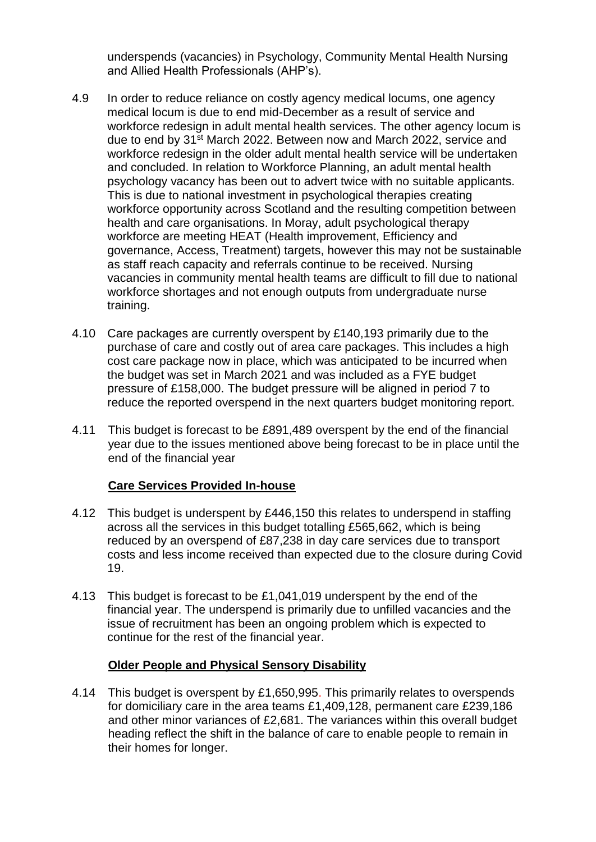underspends (vacancies) in Psychology, Community Mental Health Nursing and Allied Health Professionals (AHP's).

- 4.9 In order to reduce reliance on costly agency medical locums, one agency medical locum is due to end mid-December as a result of service and workforce redesign in adult mental health services. The other agency locum is due to end by 31st March 2022. Between now and March 2022, service and workforce redesign in the older adult mental health service will be undertaken and concluded. In relation to Workforce Planning, an adult mental health psychology vacancy has been out to advert twice with no suitable applicants. This is due to national investment in psychological therapies creating workforce opportunity across Scotland and the resulting competition between health and care organisations. In Moray, adult psychological therapy workforce are meeting HEAT (Health improvement, Efficiency and governance, Access, Treatment) targets, however this may not be sustainable as staff reach capacity and referrals continue to be received. Nursing vacancies in community mental health teams are difficult to fill due to national workforce shortages and not enough outputs from undergraduate nurse training.
- 4.10 Care packages are currently overspent by £140,193 primarily due to the purchase of care and costly out of area care packages. This includes a high cost care package now in place, which was anticipated to be incurred when the budget was set in March 2021 and was included as a FYE budget pressure of £158,000. The budget pressure will be aligned in period 7 to reduce the reported overspend in the next quarters budget monitoring report.
- 4.11 This budget is forecast to be £891,489 overspent by the end of the financial year due to the issues mentioned above being forecast to be in place until the end of the financial year

# **Care Services Provided In-house**

- 4.12 This budget is underspent by £446,150 this relates to underspend in staffing across all the services in this budget totalling £565,662, which is being reduced by an overspend of £87,238 in day care services due to transport costs and less income received than expected due to the closure during Covid 19.
- 4.13 This budget is forecast to be £1,041,019 underspent by the end of the financial year. The underspend is primarily due to unfilled vacancies and the issue of recruitment has been an ongoing problem which is expected to continue for the rest of the financial year.

# **Older People and Physical Sensory Disability**

4.14 This budget is overspent by £1,650,995. This primarily relates to overspends for domiciliary care in the area teams £1,409,128, permanent care £239,186 and other minor variances of £2,681. The variances within this overall budget heading reflect the shift in the balance of care to enable people to remain in their homes for longer.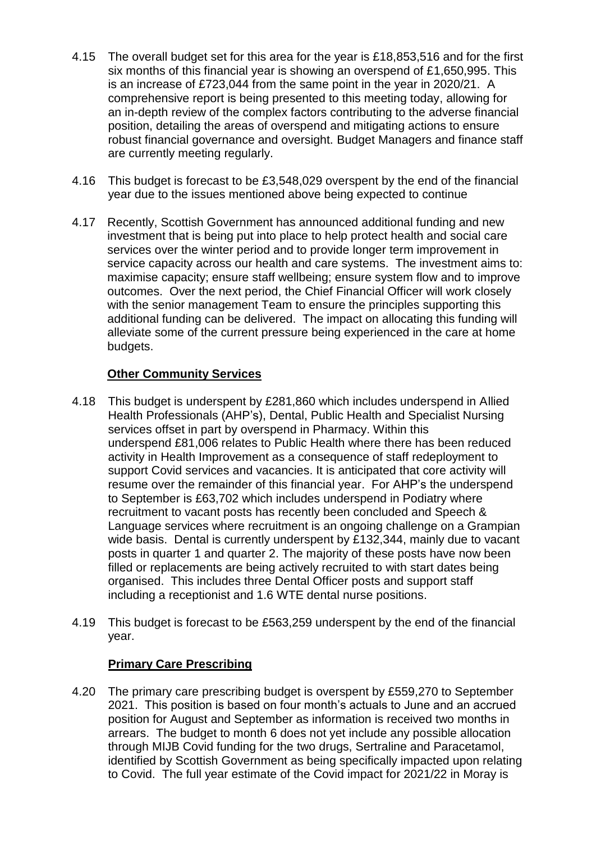- 4.15 The overall budget set for this area for the year is £18,853,516 and for the first six months of this financial year is showing an overspend of £1,650,995. This is an increase of £723,044 from the same point in the year in 2020/21. A comprehensive report is being presented to this meeting today, allowing for an in-depth review of the complex factors contributing to the adverse financial position, detailing the areas of overspend and mitigating actions to ensure robust financial governance and oversight. Budget Managers and finance staff are currently meeting regularly.
- 4.16 This budget is forecast to be £3,548,029 overspent by the end of the financial year due to the issues mentioned above being expected to continue
- 4.17 Recently, Scottish Government has announced additional funding and new investment that is being put into place to help protect health and social care services over the winter period and to provide longer term improvement in service capacity across our health and care systems. The investment aims to: maximise capacity; ensure staff wellbeing; ensure system flow and to improve outcomes. Over the next period, the Chief Financial Officer will work closely with the senior management Team to ensure the principles supporting this additional funding can be delivered. The impact on allocating this funding will alleviate some of the current pressure being experienced in the care at home budgets.

# **Other Community Services**

- 4.18 This budget is underspent by £281,860 which includes underspend in Allied Health Professionals (AHP's), Dental, Public Health and Specialist Nursing services offset in part by overspend in Pharmacy. Within this underspend £81,006 relates to Public Health where there has been reduced activity in Health Improvement as a consequence of staff redeployment to support Covid services and vacancies. It is anticipated that core activity will resume over the remainder of this financial year. For AHP's the underspend to September is £63,702 which includes underspend in Podiatry where recruitment to vacant posts has recently been concluded and Speech & Language services where recruitment is an ongoing challenge on a Grampian wide basis. Dental is currently underspent by £132,344, mainly due to vacant posts in quarter 1 and quarter 2. The majority of these posts have now been filled or replacements are being actively recruited to with start dates being organised. This includes three Dental Officer posts and support staff including a receptionist and 1.6 WTE dental nurse positions.
- 4.19 This budget is forecast to be £563,259 underspent by the end of the financial year.

# **Primary Care Prescribing**

4.20 The primary care prescribing budget is overspent by £559,270 to September 2021. This position is based on four month's actuals to June and an accrued position for August and September as information is received two months in arrears. The budget to month 6 does not yet include any possible allocation through MIJB Covid funding for the two drugs, Sertraline and Paracetamol, identified by Scottish Government as being specifically impacted upon relating to Covid. The full year estimate of the Covid impact for 2021/22 in Moray is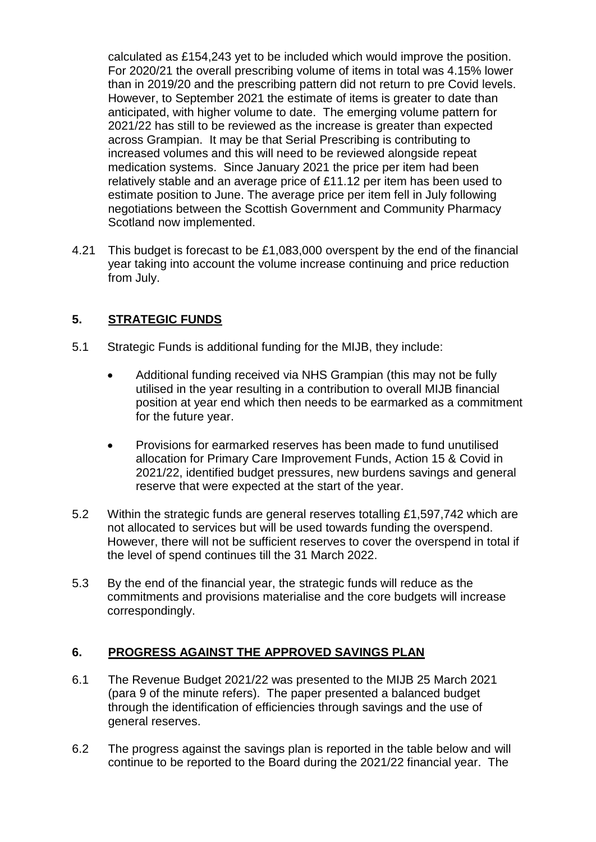calculated as £154,243 yet to be included which would improve the position. For 2020/21 the overall prescribing volume of items in total was 4.15% lower than in 2019/20 and the prescribing pattern did not return to pre Covid levels. However, to September 2021 the estimate of items is greater to date than anticipated, with higher volume to date. The emerging volume pattern for 2021/22 has still to be reviewed as the increase is greater than expected across Grampian. It may be that Serial Prescribing is contributing to increased volumes and this will need to be reviewed alongside repeat medication systems. Since January 2021 the price per item had been relatively stable and an average price of £11.12 per item has been used to estimate position to June. The average price per item fell in July following negotiations between the Scottish Government and Community Pharmacy Scotland now implemented.

4.21 This budget is forecast to be £1,083,000 overspent by the end of the financial year taking into account the volume increase continuing and price reduction from July.

# **5. STRATEGIC FUNDS**

- 5.1 Strategic Funds is additional funding for the MIJB, they include:
	- Additional funding received via NHS Grampian (this may not be fully utilised in the year resulting in a contribution to overall MIJB financial position at year end which then needs to be earmarked as a commitment for the future year.
	- Provisions for earmarked reserves has been made to fund unutilised allocation for Primary Care Improvement Funds, Action 15 & Covid in 2021/22, identified budget pressures, new burdens savings and general reserve that were expected at the start of the year.
- 5.2 Within the strategic funds are general reserves totalling £1,597,742 which are not allocated to services but will be used towards funding the overspend. However, there will not be sufficient reserves to cover the overspend in total if the level of spend continues till the 31 March 2022.
- 5.3 By the end of the financial year, the strategic funds will reduce as the commitments and provisions materialise and the core budgets will increase correspondingly.

# **6. PROGRESS AGAINST THE APPROVED SAVINGS PLAN**

- 6.1 The Revenue Budget 2021/22 was presented to the MIJB 25 March 2021 (para 9 of the minute refers). The paper presented a balanced budget through the identification of efficiencies through savings and the use of general reserves.
- 6.2 The progress against the savings plan is reported in the table below and will continue to be reported to the Board during the 2021/22 financial year. The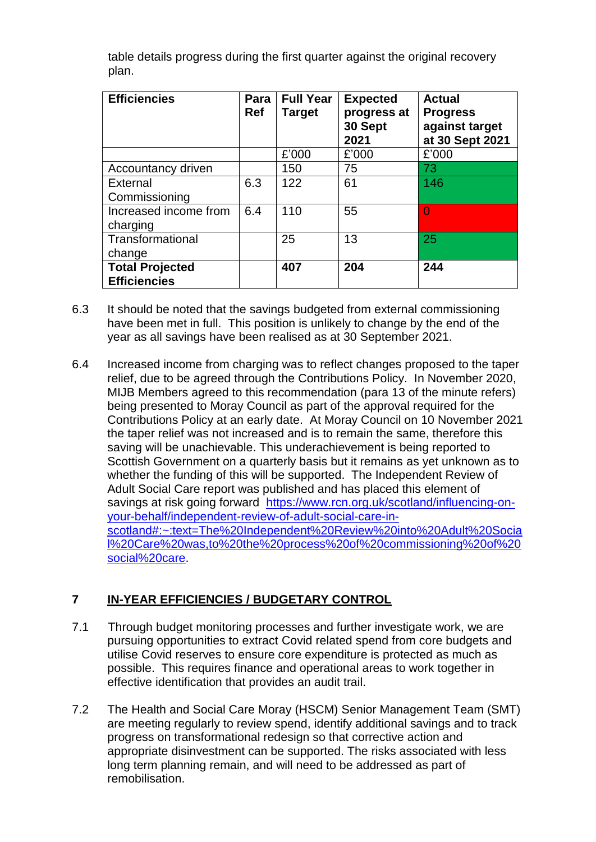table details progress during the first quarter against the original recovery plan.

| <b>Efficiencies</b>                           | Para<br><b>Ref</b> | <b>Full Year</b><br><b>Target</b> | <b>Expected</b><br>progress at<br>30 Sept<br>2021 | <b>Actual</b><br><b>Progress</b><br>against target<br>at 30 Sept 2021 |
|-----------------------------------------------|--------------------|-----------------------------------|---------------------------------------------------|-----------------------------------------------------------------------|
|                                               |                    | £'000                             | £'000                                             | £'000                                                                 |
| Accountancy driven                            |                    | 150                               | 75                                                | 73                                                                    |
| External<br>Commissioning                     | 6.3                | 122                               | 61                                                | 146                                                                   |
| Increased income from<br>charging             | 6.4                | 110                               | 55                                                | $\Omega$                                                              |
| Transformational<br>change                    |                    | 25                                | 13                                                | 25                                                                    |
| <b>Total Projected</b><br><b>Efficiencies</b> |                    | 407                               | 204                                               | 244                                                                   |

- 6.3 It should be noted that the savings budgeted from external commissioning have been met in full. This position is unlikely to change by the end of the year as all savings have been realised as at 30 September 2021.
- 6.4 Increased income from charging was to reflect changes proposed to the taper relief, due to be agreed through the Contributions Policy. In November 2020, MIJB Members agreed to this recommendation (para 13 of the minute refers) being presented to Moray Council as part of the approval required for the Contributions Policy at an early date. At Moray Council on 10 November 2021 the taper relief was not increased and is to remain the same, therefore this saving will be unachievable. This underachievement is being reported to Scottish Government on a quarterly basis but it remains as yet unknown as to whether the funding of this will be supported. The Independent Review of Adult Social Care report was published and has placed this element of savings at risk going forward [https://www.rcn.org.uk/scotland/influencing-on](https://www.rcn.org.uk/scotland/influencing-on-your-behalf/independent-review-of-adult-social-care-in-scotland#:~:text=The%20Independent%20Review%20into%20Adult%20Social%20Care%20was,to%20the%20process%20of%20commissioning%20of%20social%20care)[your-behalf/independent-review-of-adult-social-care-in](https://www.rcn.org.uk/scotland/influencing-on-your-behalf/independent-review-of-adult-social-care-in-scotland#:~:text=The%20Independent%20Review%20into%20Adult%20Social%20Care%20was,to%20the%20process%20of%20commissioning%20of%20social%20care)[scotland#:~:text=The%20Independent%20Review%20into%20Adult%20Socia](https://www.rcn.org.uk/scotland/influencing-on-your-behalf/independent-review-of-adult-social-care-in-scotland#:~:text=The%20Independent%20Review%20into%20Adult%20Social%20Care%20was,to%20the%20process%20of%20commissioning%20of%20social%20care) [l%20Care%20was,to%20the%20process%20of%20commissioning%20of%20](https://www.rcn.org.uk/scotland/influencing-on-your-behalf/independent-review-of-adult-social-care-in-scotland#:~:text=The%20Independent%20Review%20into%20Adult%20Social%20Care%20was,to%20the%20process%20of%20commissioning%20of%20social%20care) [social%20care.](https://www.rcn.org.uk/scotland/influencing-on-your-behalf/independent-review-of-adult-social-care-in-scotland#:~:text=The%20Independent%20Review%20into%20Adult%20Social%20Care%20was,to%20the%20process%20of%20commissioning%20of%20social%20care)

# **7 IN-YEAR EFFICIENCIES / BUDGETARY CONTROL**

- 7.1 Through budget monitoring processes and further investigate work, we are pursuing opportunities to extract Covid related spend from core budgets and utilise Covid reserves to ensure core expenditure is protected as much as possible. This requires finance and operational areas to work together in effective identification that provides an audit trail.
- 7.2 The Health and Social Care Moray (HSCM) Senior Management Team (SMT) are meeting regularly to review spend, identify additional savings and to track progress on transformational redesign so that corrective action and appropriate disinvestment can be supported. The risks associated with less long term planning remain, and will need to be addressed as part of remobilisation.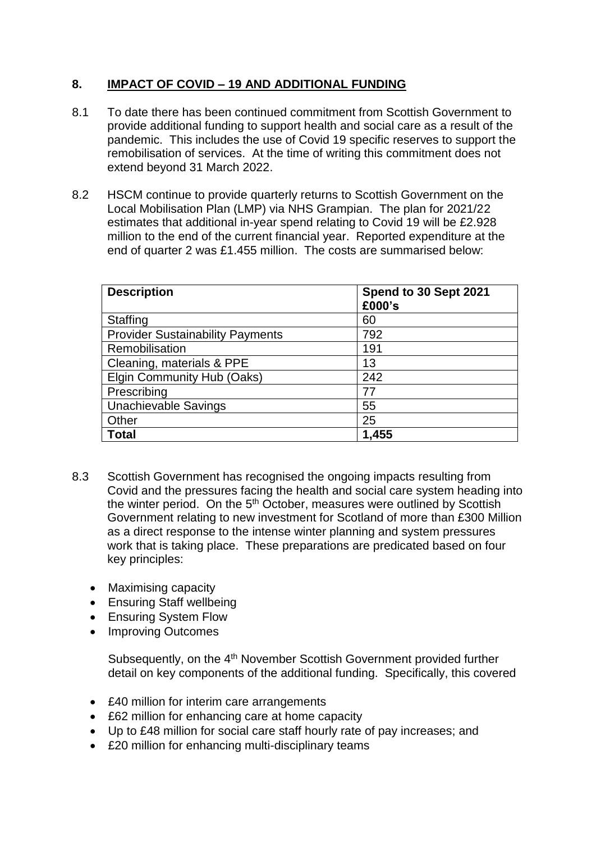# **8. IMPACT OF COVID – 19 AND ADDITIONAL FUNDING**

- 8.1 To date there has been continued commitment from Scottish Government to provide additional funding to support health and social care as a result of the pandemic. This includes the use of Covid 19 specific reserves to support the remobilisation of services. At the time of writing this commitment does not extend beyond 31 March 2022.
- 8.2 HSCM continue to provide quarterly returns to Scottish Government on the Local Mobilisation Plan (LMP) via NHS Grampian. The plan for 2021/22 estimates that additional in-year spend relating to Covid 19 will be £2.928 million to the end of the current financial year. Reported expenditure at the end of quarter 2 was £1.455 million. The costs are summarised below:

| <b>Description</b>                      | Spend to 30 Sept 2021<br>£000's |
|-----------------------------------------|---------------------------------|
| <b>Staffing</b>                         | 60                              |
| <b>Provider Sustainability Payments</b> | 792                             |
| Remobilisation                          | 191                             |
| Cleaning, materials & PPE               | 13                              |
| Elgin Community Hub (Oaks)              | 242                             |
| Prescribing                             | 77                              |
| <b>Unachievable Savings</b>             | 55                              |
| Other                                   | 25                              |
| <b>Total</b>                            | 1,455                           |

- 8.3 Scottish Government has recognised the ongoing impacts resulting from Covid and the pressures facing the health and social care system heading into the winter period. On the 5<sup>th</sup> October, measures were outlined by Scottish Government relating to new investment for Scotland of more than £300 Million as a direct response to the intense winter planning and system pressures work that is taking place. These preparations are predicated based on four key principles:
	- Maximising capacity
	- Ensuring Staff wellbeing
	- Ensuring System Flow
	- Improving Outcomes

Subsequently, on the 4<sup>th</sup> November Scottish Government provided further detail on key components of the additional funding. Specifically, this covered

- £40 million for interim care arrangements
- £62 million for enhancing care at home capacity
- Up to £48 million for social care staff hourly rate of pay increases; and
- £20 million for enhancing multi-disciplinary teams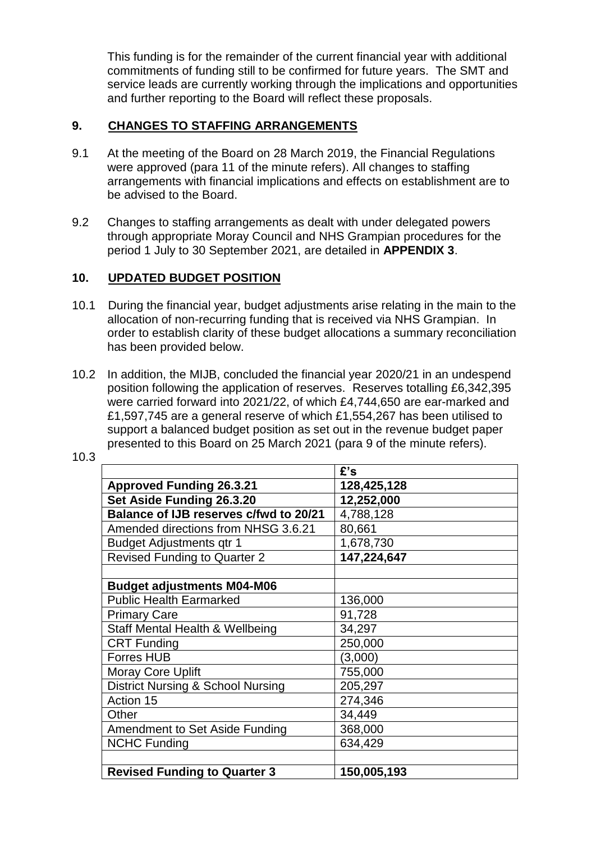This funding is for the remainder of the current financial year with additional commitments of funding still to be confirmed for future years. The SMT and service leads are currently working through the implications and opportunities and further reporting to the Board will reflect these proposals.

## **9. CHANGES TO STAFFING ARRANGEMENTS**

- 9.1 At the meeting of the Board on 28 March 2019, the Financial Regulations were approved (para 11 of the minute refers). All changes to staffing arrangements with financial implications and effects on establishment are to be advised to the Board.
- 9.2 Changes to staffing arrangements as dealt with under delegated powers through appropriate Moray Council and NHS Grampian procedures for the period 1 July to 30 September 2021, are detailed in **APPENDIX 3**.

## **10. UPDATED BUDGET POSITION**

- 10.1 During the financial year, budget adjustments arise relating in the main to the allocation of non-recurring funding that is received via NHS Grampian. In order to establish clarity of these budget allocations a summary reconciliation has been provided below.
- 10.2 In addition, the MIJB, concluded the financial year 2020/21 in an undespend position following the application of reserves. Reserves totalling £6,342,395 were carried forward into 2021/22, of which £4,744,650 are ear-marked and £1,597,745 are a general reserve of which £1,554,267 has been utilised to support a balanced budget position as set out in the revenue budget paper presented to this Board on 25 March 2021 (para 9 of the minute refers).

10.3

|                                              | £'s         |
|----------------------------------------------|-------------|
| <b>Approved Funding 26.3.21</b>              | 128,425,128 |
| Set Aside Funding 26.3.20                    | 12,252,000  |
| Balance of IJB reserves c/fwd to 20/21       | 4,788,128   |
| Amended directions from NHSG 3.6.21          | 80,661      |
| <b>Budget Adjustments qtr 1</b>              | 1,678,730   |
| <b>Revised Funding to Quarter 2</b>          | 147,224,647 |
|                                              |             |
| <b>Budget adjustments M04-M06</b>            |             |
| <b>Public Health Earmarked</b>               | 136,000     |
| <b>Primary Care</b>                          | 91,728      |
| Staff Mental Health & Wellbeing              | 34,297      |
| <b>CRT Funding</b>                           | 250,000     |
| Forres HUB                                   | (3,000)     |
| <b>Moray Core Uplift</b>                     | 755,000     |
| <b>District Nursing &amp; School Nursing</b> | 205,297     |
| Action 15                                    | 274,346     |
| Other                                        | 34,449      |
| Amendment to Set Aside Funding               | 368,000     |
| <b>NCHC Funding</b>                          | 634,429     |
|                                              |             |
| <b>Revised Funding to Quarter 3</b>          | 150,005,193 |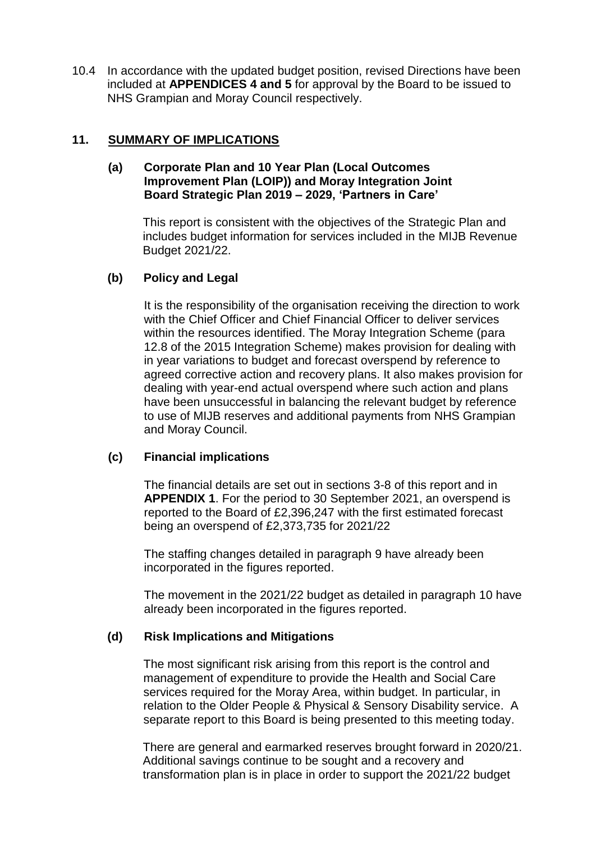10.4 In accordance with the updated budget position, revised Directions have been included at **APPENDICES 4 and 5** for approval by the Board to be issued to NHS Grampian and Moray Council respectively.

### **11. SUMMARY OF IMPLICATIONS**

### **(a) Corporate Plan and 10 Year Plan (Local Outcomes Improvement Plan (LOIP)) and Moray Integration Joint Board Strategic Plan 2019 – 2029, 'Partners in Care'**

This report is consistent with the objectives of the Strategic Plan and includes budget information for services included in the MIJB Revenue Budget 2021/22.

### **(b) Policy and Legal**

It is the responsibility of the organisation receiving the direction to work with the Chief Officer and Chief Financial Officer to deliver services within the resources identified. The Moray Integration Scheme (para 12.8 of the 2015 Integration Scheme) makes provision for dealing with in year variations to budget and forecast overspend by reference to agreed corrective action and recovery plans. It also makes provision for dealing with year-end actual overspend where such action and plans have been unsuccessful in balancing the relevant budget by reference to use of MIJB reserves and additional payments from NHS Grampian and Moray Council.

#### **(c) Financial implications**

The financial details are set out in sections 3-8 of this report and in **APPENDIX 1**. For the period to 30 September 2021, an overspend is reported to the Board of £2,396,247 with the first estimated forecast being an overspend of £2,373,735 for 2021/22

The staffing changes detailed in paragraph 9 have already been incorporated in the figures reported.

The movement in the 2021/22 budget as detailed in paragraph 10 have already been incorporated in the figures reported.

#### **(d) Risk Implications and Mitigations**

The most significant risk arising from this report is the control and management of expenditure to provide the Health and Social Care services required for the Moray Area, within budget. In particular, in relation to the Older People & Physical & Sensory Disability service. A separate report to this Board is being presented to this meeting today.

There are general and earmarked reserves brought forward in 2020/21. Additional savings continue to be sought and a recovery and transformation plan is in place in order to support the 2021/22 budget